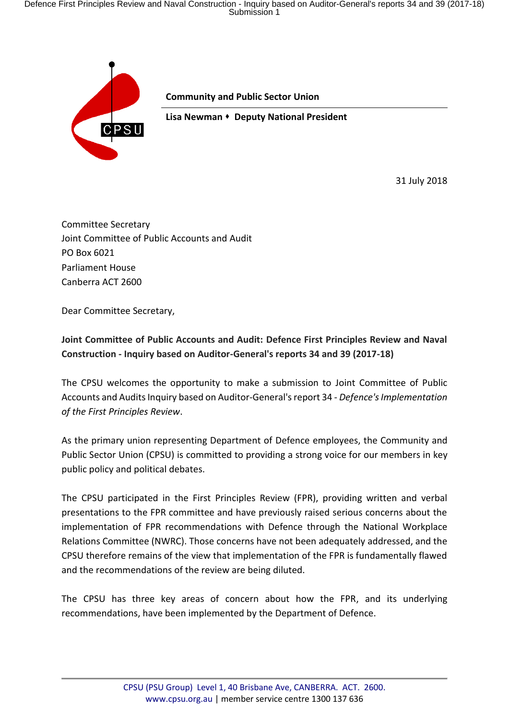Defence First Principles Review and Naval Construction - Inquiry based on Auditor-General's reports 34 and 39 (2017-18) Submission 1



**Community and Public Sector Union**

**Lisa Newman** ⬧ **Deputy National President** 

31 July 2018

Committee Secretary Joint Committee of Public Accounts and Audit PO Box 6021 Parliament House Canberra ACT 2600

Dear Committee Secretary,

**Joint Committee of Public Accounts and Audit: Defence First Principles Review and Naval Construction - Inquiry based on Auditor-General's reports 34 and 39 (2017-18)**

The CPSU welcomes the opportunity to make a submission to Joint Committee of Public Accounts and Audits Inquiry based on Auditor-General's report 34 - *Defence's Implementation of the First Principles Review*.

As the primary union representing Department of Defence employees, the Community and Public Sector Union (CPSU) is committed to providing a strong voice for our members in key public policy and political debates.

The CPSU participated in the First Principles Review (FPR), providing written and verbal presentations to the FPR committee and have previously raised serious concerns about the implementation of FPR recommendations with Defence through the National Workplace Relations Committee (NWRC). Those concerns have not been adequately addressed, and the CPSU therefore remains of the view that implementation of the FPR is fundamentally flawed and the recommendations of the review are being diluted.

The CPSU has three key areas of concern about how the FPR, and its underlying recommendations, have been implemented by the Department of Defence.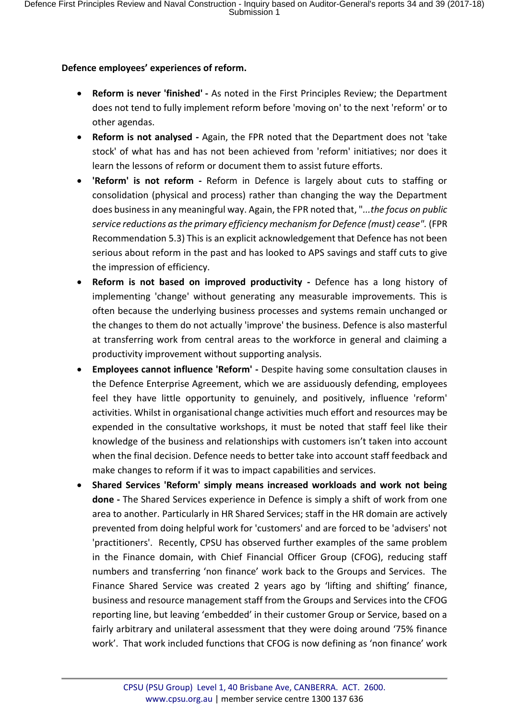# **Defence employees' experiences of reform.**

- **Reform is never 'finished' -** As noted in the First Principles Review; the Department does not tend to fully implement reform before 'moving on' to the next 'reform' or to other agendas.
- **Reform is not analysed -** Again, the FPR noted that the Department does not 'take stock' of what has and has not been achieved from 'reform' initiatives; nor does it learn the lessons of reform or document them to assist future efforts.
- **'Reform' is not reform -** Reform in Defence is largely about cuts to staffing or consolidation (physical and process) rather than changing the way the Department does business in any meaningful way. Again, the FPR noted that, "*...the focus on public service reductions as the primary efficiency mechanism for Defence (must) cease".* (FPR Recommendation 5.3) This is an explicit acknowledgement that Defence has not been serious about reform in the past and has looked to APS savings and staff cuts to give the impression of efficiency.
- **Reform is not based on improved productivity -** Defence has a long history of implementing 'change' without generating any measurable improvements. This is often because the underlying business processes and systems remain unchanged or the changes to them do not actually 'improve' the business. Defence is also masterful at transferring work from central areas to the workforce in general and claiming a productivity improvement without supporting analysis.
- **Employees cannot influence 'Reform' -** Despite having some consultation clauses in the Defence Enterprise Agreement, which we are assiduously defending, employees feel they have little opportunity to genuinely, and positively, influence 'reform' activities. Whilst in organisational change activities much effort and resources may be expended in the consultative workshops, it must be noted that staff feel like their knowledge of the business and relationships with customers isn't taken into account when the final decision. Defence needs to better take into account staff feedback and make changes to reform if it was to impact capabilities and services.
- **Shared Services 'Reform' simply means increased workloads and work not being done -** The Shared Services experience in Defence is simply a shift of work from one area to another. Particularly in HR Shared Services; staff in the HR domain are actively prevented from doing helpful work for 'customers' and are forced to be 'advisers' not 'practitioners'. Recently, CPSU has observed further examples of the same problem in the Finance domain, with Chief Financial Officer Group (CFOG), reducing staff numbers and transferring 'non finance' work back to the Groups and Services. The Finance Shared Service was created 2 years ago by 'lifting and shifting' finance, business and resource management staff from the Groups and Services into the CFOG reporting line, but leaving 'embedded' in their customer Group or Service, based on a fairly arbitrary and unilateral assessment that they were doing around '75% finance work'. That work included functions that CFOG is now defining as 'non finance' work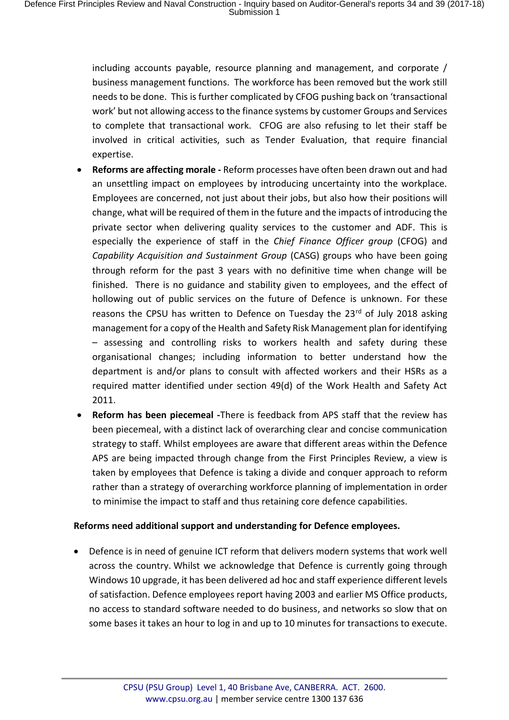including accounts payable, resource planning and management, and corporate / business management functions. The workforce has been removed but the work still needs to be done. This is further complicated by CFOG pushing back on 'transactional work' but not allowing access to the finance systems by customer Groups and Services to complete that transactional work. CFOG are also refusing to let their staff be involved in critical activities, such as Tender Evaluation, that require financial expertise.

- **Reforms are affecting morale -** Reform processes have often been drawn out and had an unsettling impact on employees by introducing uncertainty into the workplace. Employees are concerned, not just about their jobs, but also how their positions will change, what will be required of them in the future and the impacts of introducing the private sector when delivering quality services to the customer and ADF. This is especially the experience of staff in the *Chief Finance Officer group* (CFOG) and *Capability Acquisition and Sustainment Group* (CASG) groups who have been going through reform for the past 3 years with no definitive time when change will be finished. There is no guidance and stability given to employees, and the effect of hollowing out of public services on the future of Defence is unknown. For these reasons the CPSU has written to Defence on Tuesday the 23rd of July 2018 asking management for a copy of the Health and Safety Risk Management plan for identifying – assessing and controlling risks to workers health and safety during these organisational changes; including information to better understand how the department is and/or plans to consult with affected workers and their HSRs as a required matter identified under section 49(d) of the Work Health and Safety Act 2011.
- **Reform has been piecemeal -**There is feedback from APS staff that the review has been piecemeal, with a distinct lack of overarching clear and concise communication strategy to staff. Whilst employees are aware that different areas within the Defence APS are being impacted through change from the First Principles Review, a view is taken by employees that Defence is taking a divide and conquer approach to reform rather than a strategy of overarching workforce planning of implementation in order to minimise the impact to staff and thus retaining core defence capabilities.

### **Reforms need additional support and understanding for Defence employees.**

• Defence is in need of genuine ICT reform that delivers modern systems that work well across the country. Whilst we acknowledge that Defence is currently going through Windows 10 upgrade, it has been delivered ad hoc and staff experience different levels of satisfaction. Defence employees report having 2003 and earlier MS Office products, no access to standard software needed to do business, and networks so slow that on some bases it takes an hour to log in and up to 10 minutes for transactions to execute.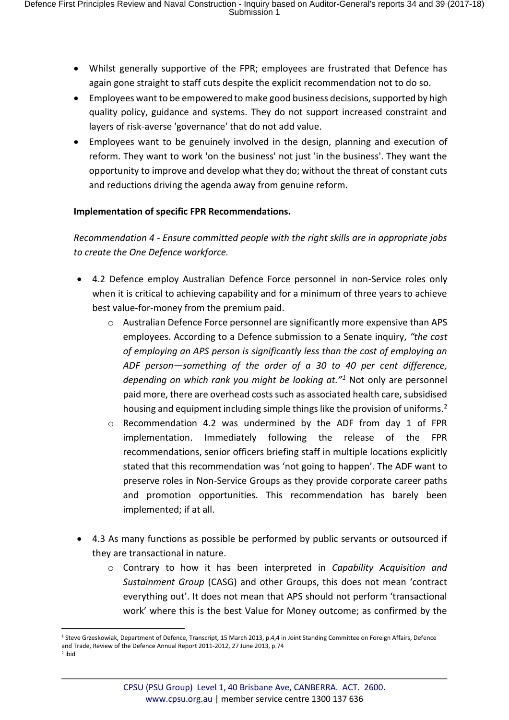- Whilst generally supportive of the FPR; employees are frustrated that Defence has again gone straight to staff cuts despite the explicit recommendation not to do so.
- Employees want to be empowered to make good business decisions, supported by high quality policy, guidance and systems. They do not support increased constraint and layers of risk-averse 'governance' that do not add value.
- Employees want to be genuinely involved in the design, planning and execution of reform. They want to work 'on the business' not just 'in the business'. They want the opportunity to improve and develop what they do; without the threat of constant cuts and reductions driving the agenda away from genuine reform.

#### **Implementation of specific FPR Recommendations.**

*Recommendation 4 - Ensure committed people with the right skills are in appropriate jobs to create the One Defence workforce.*

- 4.2 Defence employ Australian Defence Force personnel in non-Service roles only when it is critical to achieving capability and for a minimum of three years to achieve best value-for-money from the premium paid.
	- o Australian Defence Force personnel are significantly more expensive than APS employees. According to a Defence submission to a Senate inquiry, *"the cost of employing an APS person is significantly less than the cost of employing an ADF person—something of the order of a 30 to 40 per cent difference, depending on which rank you might be looking at."<sup>1</sup>* Not only are personnel paid more, there are overhead costs such as associated health care, subsidised housing and equipment including simple things like the provision of uniforms.<sup>2</sup>
	- $\circ$  Recommendation 4.2 was undermined by the ADF from day 1 of FPR implementation. Immediately following the release of the FPR recommendations, senior officers briefing staff in multiple locations explicitly stated that this recommendation was 'not going to happen'. The ADF want to preserve roles in Non-Service Groups as they provide corporate career paths and promotion opportunities. This recommendation has barely been implemented; if at all.
- 4.3 As many functions as possible be performed by public servants or outsourced if they are transactional in nature.
	- o Contrary to how it has been interpreted in *Capability Acquisition and Sustainment Group* (CASG) and other Groups, this does not mean 'contract everything out'. It does not mean that APS should not perform 'transactional work' where this is the best Value for Money outcome; as confirmed by the

<sup>1</sup> <sup>1</sup> Steve Grzeskowiak, Department of Defence, Transcript, 15 March 2013, p.4,4 in Joint Standing Committee on Foreign Affairs, Defence and Trade, Review of the Defence Annual Report 2011-2012, 27 June 2013, p.74 2 ibid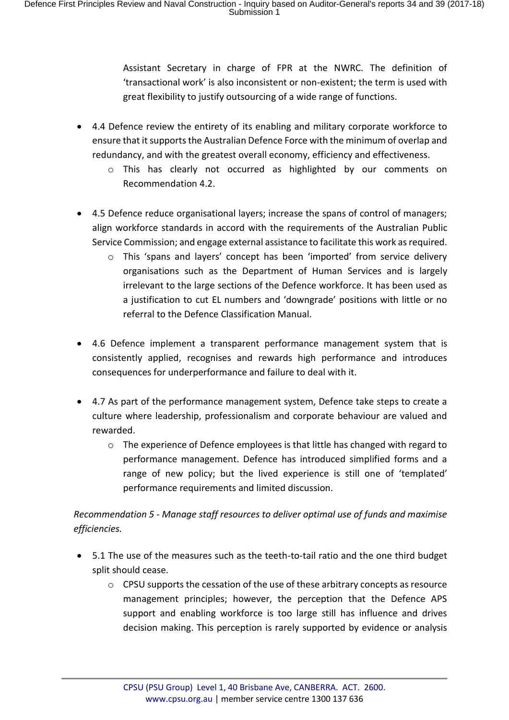Assistant Secretary in charge of FPR at the NWRC. The definition of 'transactional work' is also inconsistent or non-existent; the term is used with great flexibility to justify outsourcing of a wide range of functions.

- 4.4 Defence review the entirety of its enabling and military corporate workforce to ensure that it supports the Australian Defence Force with the minimum of overlap and redundancy, and with the greatest overall economy, efficiency and effectiveness.
	- o This has clearly not occurred as highlighted by our comments on Recommendation 4.2.
- 4.5 Defence reduce organisational layers; increase the spans of control of managers; align workforce standards in accord with the requirements of the Australian Public Service Commission; and engage external assistance to facilitate this work as required.
	- o This 'spans and layers' concept has been 'imported' from service delivery organisations such as the Department of Human Services and is largely irrelevant to the large sections of the Defence workforce. It has been used as a justification to cut EL numbers and 'downgrade' positions with little or no referral to the Defence Classification Manual.
- 4.6 Defence implement a transparent performance management system that is consistently applied, recognises and rewards high performance and introduces consequences for underperformance and failure to deal with it.
- 4.7 As part of the performance management system, Defence take steps to create a culture where leadership, professionalism and corporate behaviour are valued and rewarded.
	- $\circ$  The experience of Defence employees is that little has changed with regard to performance management. Defence has introduced simplified forms and a range of new policy; but the lived experience is still one of 'templated' performance requirements and limited discussion.

*Recommendation 5 - Manage staff resources to deliver optimal use of funds and maximise efficiencies.*

- 5.1 The use of the measures such as the teeth-to-tail ratio and the one third budget split should cease.
	- $\circ$  CPSU supports the cessation of the use of these arbitrary concepts as resource management principles; however, the perception that the Defence APS support and enabling workforce is too large still has influence and drives decision making. This perception is rarely supported by evidence or analysis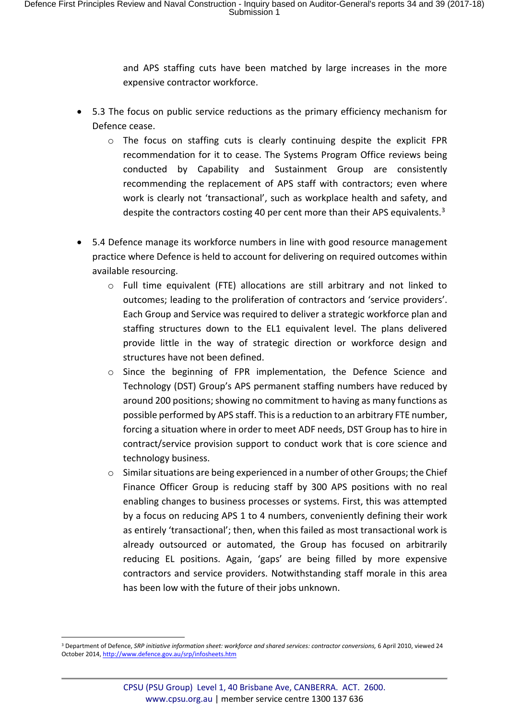and APS staffing cuts have been matched by large increases in the more expensive contractor workforce.

- 5.3 The focus on public service reductions as the primary efficiency mechanism for Defence cease.
	- o The focus on staffing cuts is clearly continuing despite the explicit FPR recommendation for it to cease. The Systems Program Office reviews being conducted by Capability and Sustainment Group are consistently recommending the replacement of APS staff with contractors; even where work is clearly not 'transactional', such as workplace health and safety, and despite the contractors costing 40 per cent more than their APS equivalents.<sup>3</sup>
- 5.4 Defence manage its workforce numbers in line with good resource management practice where Defence is held to account for delivering on required outcomes within available resourcing.
	- o Full time equivalent (FTE) allocations are still arbitrary and not linked to outcomes; leading to the proliferation of contractors and 'service providers'. Each Group and Service was required to deliver a strategic workforce plan and staffing structures down to the EL1 equivalent level. The plans delivered provide little in the way of strategic direction or workforce design and structures have not been defined.
	- $\circ$  Since the beginning of FPR implementation, the Defence Science and Technology (DST) Group's APS permanent staffing numbers have reduced by around 200 positions; showing no commitment to having as many functions as possible performed by APS staff. This is a reduction to an arbitrary FTE number, forcing a situation where in order to meet ADF needs, DST Group has to hire in contract/service provision support to conduct work that is core science and technology business.
	- $\circ$  Similar situations are being experienced in a number of other Groups; the Chief Finance Officer Group is reducing staff by 300 APS positions with no real enabling changes to business processes or systems. First, this was attempted by a focus on reducing APS 1 to 4 numbers, conveniently defining their work as entirely 'transactional'; then, when this failed as most transactional work is already outsourced or automated, the Group has focused on arbitrarily reducing EL positions. Again, 'gaps' are being filled by more expensive contractors and service providers. Notwithstanding staff morale in this area has been low with the future of their jobs unknown.

<u>.</u>

<sup>3</sup> Department of Defence, *SRP initiative information sheet: workforce and shared services: contractor conversions,* 6 April 2010, viewed 24 October 2014, http://www.defence.gov.au/srp/infosheets.htm